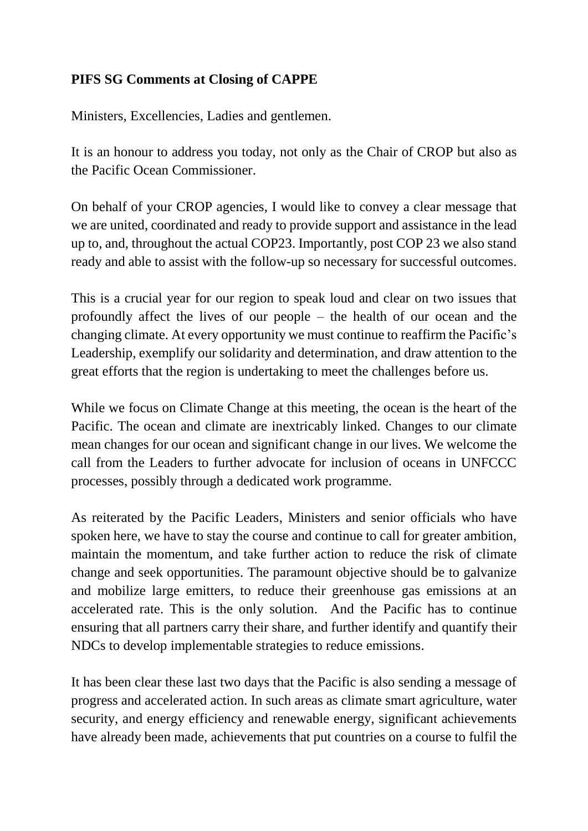## **PIFS SG Comments at Closing of CAPPE**

Ministers, Excellencies, Ladies and gentlemen.

It is an honour to address you today, not only as the Chair of CROP but also as the Pacific Ocean Commissioner.

On behalf of your CROP agencies, I would like to convey a clear message that we are united, coordinated and ready to provide support and assistance in the lead up to, and, throughout the actual COP23. Importantly, post COP 23 we also stand ready and able to assist with the follow-up so necessary for successful outcomes.

This is a crucial year for our region to speak loud and clear on two issues that profoundly affect the lives of our people – the health of our ocean and the changing climate. At every opportunity we must continue to reaffirm the Pacific's Leadership, exemplify our solidarity and determination, and draw attention to the great efforts that the region is undertaking to meet the challenges before us.

While we focus on Climate Change at this meeting, the ocean is the heart of the Pacific. The ocean and climate are inextricably linked. Changes to our climate mean changes for our ocean and significant change in our lives. We welcome the call from the Leaders to further advocate for inclusion of oceans in UNFCCC processes, possibly through a dedicated work programme.

As reiterated by the Pacific Leaders, Ministers and senior officials who have spoken here, we have to stay the course and continue to call for greater ambition, maintain the momentum, and take further action to reduce the risk of climate change and seek opportunities. The paramount objective should be to galvanize and mobilize large emitters, to reduce their greenhouse gas emissions at an accelerated rate. This is the only solution. And the Pacific has to continue ensuring that all partners carry their share, and further identify and quantify their NDCs to develop implementable strategies to reduce emissions.

It has been clear these last two days that the Pacific is also sending a message of progress and accelerated action. In such areas as climate smart agriculture, water security, and energy efficiency and renewable energy, significant achievements have already been made, achievements that put countries on a course to fulfil the